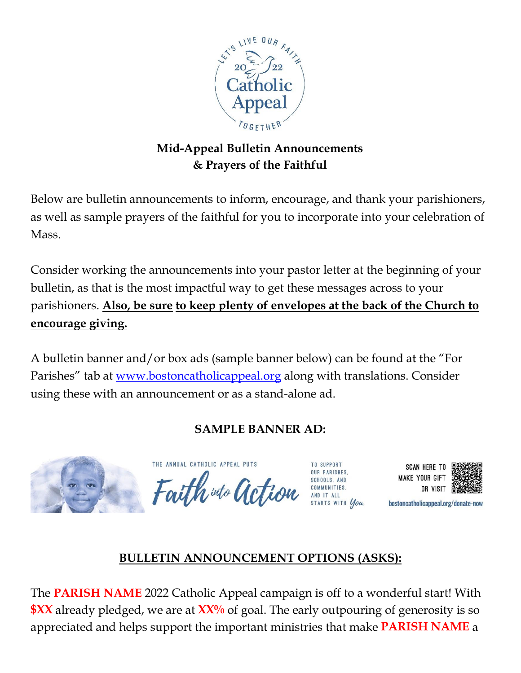

### **Mid-Appeal Bulletin Announcements & Prayers of the Faithful**

Below are bulletin announcements to inform, encourage, and thank your parishioners, as well as sample prayers of the faithful for you to incorporate into your celebration of Mass.

Consider working the announcements into your pastor letter at the beginning of your bulletin, as that is the most impactful way to get these messages across to your parishioners. **Also, be sure to keep plenty of envelopes at the back of the Church to encourage giving.**

A bulletin banner and/or box ads (sample banner below) can be found at the "For Parishes" tab at [www.bostoncatholicappeal.org](http://www.bostoncatholicappeal.org/) along with translations. Consider using these with an announcement or as a stand-alone ad.

# **SAMPLE BANNER AD:**



THE ANNUAL CATHOLIC APPEAL PUTS Faith wto action

TO SUPPORT **OUR PARISHES** SCHOOLS, AND





bostoncatholicappeal.org/donate-now

# **BULLETIN ANNOUNCEMENT OPTIONS (ASKS):**

The **PARISH NAME** 2022 Catholic Appeal campaign is off to a wonderful start! With **\$XX** already pledged, we are at  $\frac{XX}{}$  of goal. The early outpouring of generosity is so appreciated and helps support the important ministries that make **PARISH NAME** a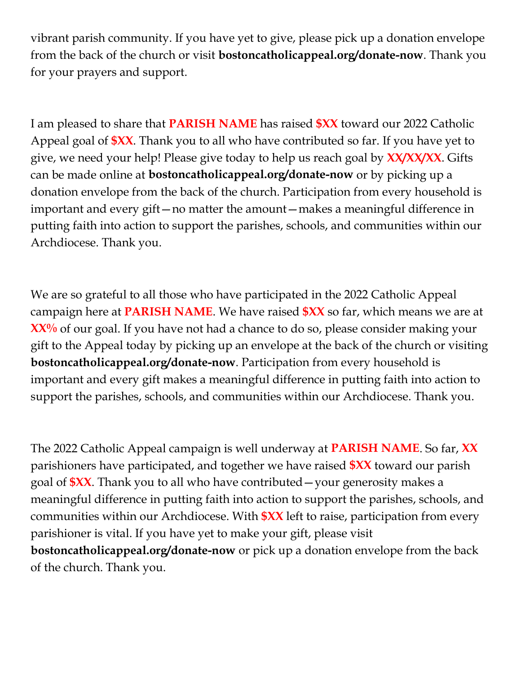vibrant parish community. If you have yet to give, please pick up a donation envelope from the back of the church or visit **bostoncatholicappeal.org/donate-now**. Thank you for your prayers and support.

I am pleased to share that **PARISH NAME** has raised **\$XX** toward our 2022 Catholic Appeal goal of **\$XX**. Thank you to all who have contributed so far. If you have yet to give, we need your help! Please give today to help us reach goal by **XX/XX/XX**. Gifts can be made online at **bostoncatholicappeal.org/donate-now** or by picking up a donation envelope from the back of the church. Participation from every household is important and every gift—no matter the amount—makes a meaningful difference in putting faith into action to support the parishes, schools, and communities within our Archdiocese. Thank you.

We are so grateful to all those who have participated in the 2022 Catholic Appeal campaign here at **PARISH NAME**. We have raised **\$XX** so far, which means we are at **XX**% of our goal. If you have not had a chance to do so, please consider making your gift to the Appeal today by picking up an envelope at the back of the church or visiting **bostoncatholicappeal.org/donate-now**. Participation from every household is important and every gift makes a meaningful difference in putting faith into action to support the parishes, schools, and communities within our Archdiocese. Thank you.

The 2022 Catholic Appeal campaign is well underway at **PARISH NAME**. So far, **XX** parishioners have participated, and together we have raised **\$XX** toward our parish goal of **\$XX**. Thank you to all who have contributed—your generosity makes a meaningful difference in putting faith into action to support the parishes, schools, and communities within our Archdiocese. With **\$XX** left to raise, participation from every parishioner is vital. If you have yet to make your gift, please visit **bostoncatholicappeal.org/donate-now** or pick up a donation envelope from the back of the church. Thank you.